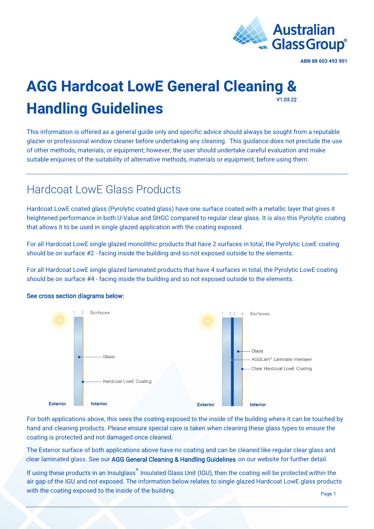

#### **AGG Hardcoat LowE General Cleaning & Handling Guidelines**  V1.03.22

This information is offered as a general guide only and specific advice should always be sought from a reputable glazier or professional window cleaner before undertaking any cleaning. This guidance does not preclude the use of other methods, materials, or equipment; however, the user should undertake careful evaluation and make suitable enquiries of the suitability of alternative methods, materials or equipment, before using them.

### Hardcoat LowE Glass Products

Hardcoat LowE coated glass (Pyrolytic coated glass) have one surface coated with a metallic layer that gives it heightened performance in both U-Value and SHGC compared to regular clear glass. It is also this Pyrolytic coating that allows it to be used in single glazed application with the coating exposed.

For all Hardcoat LowE single glazed monolithic products that have 2 surfaces in total, the Pyrolytic LowE coating should be on surface #2 - facing inside the building and so not exposed outside to the elements.

For all Hardcoat LowE single glazed laminated products that have 4 surfaces in total, the Pyrolytic LowE coating should be on surface #4 - facing inside the building and so not exposed outside to the elements.



#### See cross section diagrams below:

For both applications above, this sees the coating exposed to the inside of the building where it can be touched by hand and cleaning products. Please ensure special care is taken when cleaning these glass types to ensure the coating is protected and not damaged once cleaned.

The Exterior surface of both applications above have no coating and can be cleaned like regular clear glass and clear laminated glass. See our [AGG General Cleaning & Handling Guidelines](https://agg.com.au/wp-content/uploads/2022/03/AGG-Guideline-General-Cleaning-Handling.pdf) on our website for further detail.

If using these products in an Insulglass<sup>®</sup> Insulated Glass Unit (IGU), then the coating will be protected within the air gap of the IGU and not exposed. The information below relates to single glazed Hardcoat LowE glass products with the coating exposed to the inside of the building.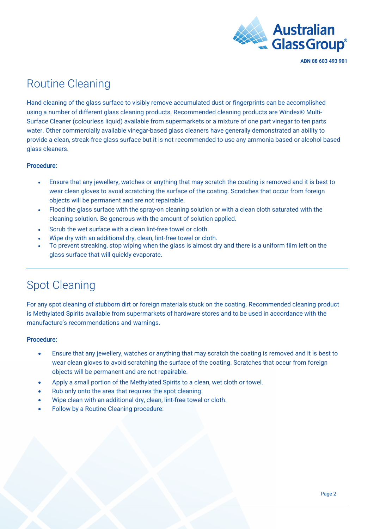

### Routine Cleaning

Hand cleaning of the glass surface to visibly remove accumulated dust or fingerprints can be accomplished using a number of different glass cleaning products. Recommended cleaning products are Windex® Multi-Surface Cleaner (colourless liquid) available from supermarkets or a mixture of one part vinegar to ten parts water. Other commercially available vinegar-based glass cleaners have generally demonstrated an ability to provide a clean, streak-free glass surface but it is not recommended to use any ammonia based or alcohol based glass cleaners.

#### Procedure:

- Ensure that any jewellery, watches or anything that may scratch the coating is removed and it is best to wear clean gloves to avoid scratching the surface of the coating. Scratches that occur from foreign objects will be permanent and are not repairable.
- Flood the glass surface with the spray-on cleaning solution or with a clean cloth saturated with the cleaning solution. Be generous with the amount of solution applied.
- Scrub the wet surface with a clean lint-free towel or cloth.
- Wipe dry with an additional dry, clean, lint-free towel or cloth.
- To prevent streaking, stop wiping when the glass is almost dry and there is a uniform film left on the glass surface that will quickly evaporate.

## Spot Cleaning

For any spot cleaning of stubborn dirt or foreign materials stuck on the coating. Recommended cleaning product is Methylated Spirits available from supermarkets of hardware stores and to be used in accordance with the manufacture's recommendations and warnings.

#### Procedure:

- Ensure that any jewellery, watches or anything that may scratch the coating is removed and it is best to wear clean gloves to avoid scratching the surface of the coating. Scratches that occur from foreign objects will be permanent and are not repairable.
- Apply a small portion of the Methylated Spirits to a clean, wet cloth or towel.
- Rub only onto the area that requires the spot cleaning.
- Wipe clean with an additional dry, clean, lint-free towel or cloth.
- Follow by a Routine Cleaning procedure.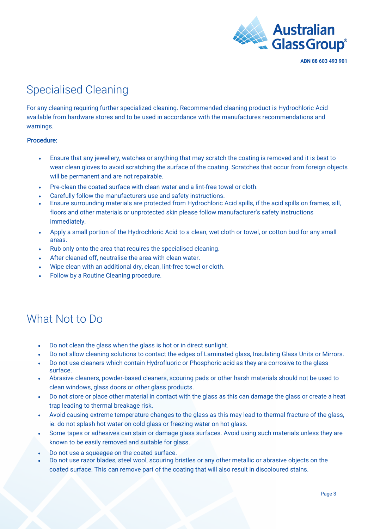

# Specialised Cleaning

For any cleaning requiring further specialized cleaning. Recommended cleaning product is Hydrochloric Acid available from hardware stores and to be used in accordance with the manufactures recommendations and warnings.

#### Procedure:

- Ensure that any jewellery, watches or anything that may scratch the coating is removed and it is best to wear clean gloves to avoid scratching the surface of the coating. Scratches that occur from foreign objects will be permanent and are not repairable.
- Pre-clean the coated surface with clean water and a lint-free towel or cloth.
- Carefully follow the manufacturers use and safety instructions.
- Ensure surrounding materials are protected from Hydrochloric Acid spills, if the acid spills on frames, sill, floors and other materials or unprotected skin please follow manufacturer's safety instructions immediately.
- Apply a small portion of the Hydrochloric Acid to a clean, wet cloth or towel, or cotton bud for any small areas.
- Rub only onto the area that requires the specialised cleaning.
- After cleaned off, neutralise the area with clean water.
- Wipe clean with an additional dry, clean, lint-free towel or cloth.
- Follow by a Routine Cleaning procedure.

## What Not to Do

- Do not clean the glass when the glass is hot or in direct sunlight.
- Do not allow cleaning solutions to contact the edges of Laminated glass, Insulating Glass Units or Mirrors.
- Do not use cleaners which contain Hydrofluoric or Phosphoric acid as they are corrosive to the glass surface.
- Abrasive cleaners, powder-based cleaners, scouring pads or other harsh materials should not be used to clean windows, glass doors or other glass products.
- Do not store or place other material in contact with the glass as this can damage the glass or create a heat trap leading to thermal breakage risk.
- Avoid causing extreme temperature changes to the glass as this may lead to thermal fracture of the glass, ie. do not splash hot water on cold glass or freezing water on hot glass.
- Some tapes or adhesives can stain or damage glass surfaces. Avoid using such materials unless they are known to be easily removed and suitable for glass.
- Do not use a squeegee on the coated surface.
- Do not use razor blades, steel wool, scouring bristles or any other metallic or abrasive objects on the coated surface. This can remove part of the coating that will also result in discoloured stains.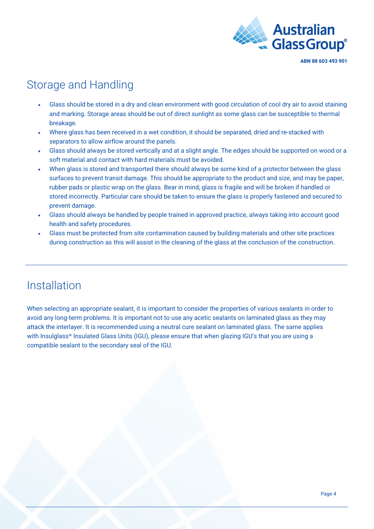

# Storage and Handling

- Glass should be stored in a dry and clean environment with good circulation of cool dry air to avoid staining and marking. Storage areas should be out of direct sunlight as some glass can be susceptible to thermal breakage.
- Where glass has been received in a wet condition, it should be separated, dried and re-stacked with separators to allow airflow around the panels.
- Glass should always be stored vertically and at a slight angle. The edges should be supported on wood or a soft material and contact with hard materials must be avoided.
- When glass is stored and transported there should always be some kind of a protector between the glass surfaces to prevent transit damage. This should be appropriate to the product and size, and may be paper, rubber pads or plastic wrap on the glass. Bear in mind, glass is fragile and will be broken if handled or stored incorrectly. Particular care should be taken to ensure the glass is properly fastened and secured to prevent damage.
- Glass should always be handled by people trained in approved practice, always taking into account good health and safety procedures.
- Glass must be protected from site contamination caused by building materials and other site practices during construction as this will assist in the cleaning of the glass at the conclusion of the construction.

### Installation

When selecting an appropriate sealant, it is important to consider the properties of various sealants in order to avoid any long-term problems. It is important not to use any acetic sealants on laminated glass as they may attack the interlayer. It is recommended using a neutral cure sealant on laminated glass. The same applies with I[nsulgla](https://agg.com.au/products/insulglass/)ss® Insulated Glass Units (IGU), please ensure that when glazing IGU's that you are using a compatible sealant to the secondary seal of the IGU.